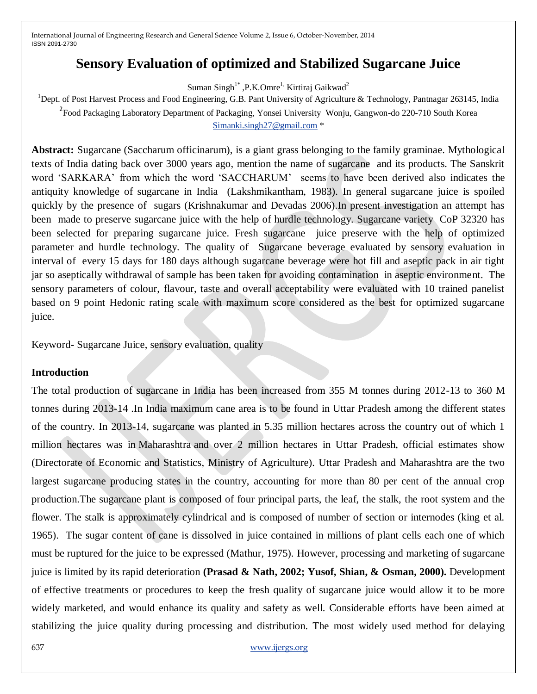# **Sensory Evaluation of optimized and Stabilized Sugarcane Juice**

Suman Singh<sup>1\*</sup>, P.K.Omre<sup>1,</sup> Kirtiraj Gaikwad<sup>2</sup>

<sup>1</sup>Dept. of Post Harvest Process and Food Engineering, G.B. Pant University of Agriculture & Technology, Pantnagar 263145, India <sup>2</sup> Food Packaging Laboratory Department of Packaging, Yonsei University Wonju, Gangwon-do 220-710 South Korea [Simanki.singh27@gmail.com](mailto:Simanki.singh27@gmail.com) \*

**Abstract:** Sugarcane (Saccharum officinarum), is a giant grass belonging to the family graminae. Mythological texts of India dating back over 3000 years ago, mention the name of sugarcane and its products. The Sanskrit word 'SARKARA' from which the word 'SACCHARUM' seems to have been derived also indicates the antiquity knowledge of sugarcane in India (Lakshmikantham, 1983). In general sugarcane juice is spoiled quickly by the presence of sugars (Krishnakumar and Devadas 2006).In present investigation an attempt has been made to preserve sugarcane juice with the help of hurdle technology. Sugarcane variety CoP 32320 has been selected for preparing sugarcane juice. Fresh sugarcane juice preserve with the help of optimized parameter and hurdle technology. The quality of Sugarcane beverage evaluated by sensory evaluation in interval of every 15 days for 180 days although sugarcane beverage were hot fill and aseptic pack in air tight jar so aseptically withdrawal of sample has been taken for avoiding contamination in aseptic environment. The sensory parameters of colour, flavour, taste and overall acceptability were evaluated with 10 trained panelist based on 9 point Hedonic rating scale with maximum score considered as the best for optimized sugarcane juice.

Keyword- Sugarcane Juice, sensory evaluation, quality

### **Introduction**

The total production of sugarcane in India has been increased from 355 M tonnes during 2012-13 to 360 M tonnes during 2013-14 .In India maximum cane area is to be found in Uttar Pradesh among the different states of the country. In 2013-14, sugarcane was planted in 5.35 million hectares across the country out of which 1 million hectares was in Maharashtra and over 2 million hectares in Uttar Pradesh, official estimates show (Directorate of Economic and Statistics, Ministry of Agriculture). Uttar Pradesh and Maharashtra are the two largest sugarcane producing states in the country, accounting for more than 80 per cent of the annual crop production.The sugarcane plant is composed of four principal parts, the leaf, the stalk, the root system and the flower. The stalk is approximately cylindrical and is composed of number of section or internodes (king et al. 1965). The sugar content of cane is dissolved in juice contained in millions of plant cells each one of which must be ruptured for the juice to be expressed (Mathur, 1975). However, processing and marketing of sugarcane juice is limited by its rapid deterioration **(Prasad & Nath, 2002; Yusof, Shian, & Osman, 2000).** Development of effective treatments or procedures to keep the fresh quality of sugarcane juice would allow it to be more widely marketed, and would enhance its quality and safety as well. Considerable efforts have been aimed at stabilizing the juice quality during processing and distribution. The most widely used method for delaying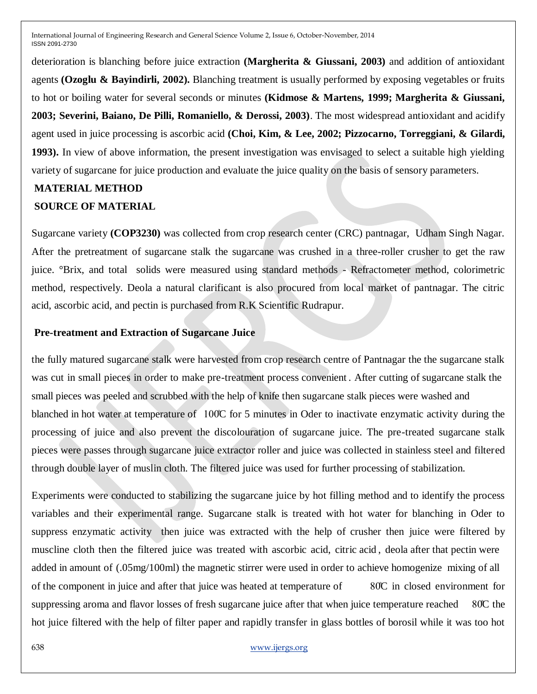deterioration is blanching before juice extraction **(Margherita & Giussani, 2003)** and addition of antioxidant agents **(Ozoglu & Bayindirli, 2002).** Blanching treatment is usually performed by exposing vegetables or fruits to hot or boiling water for several seconds or minutes **(Kidmose & Martens, 1999; Margherita & Giussani, 2003; Severini, Baiano, De Pilli, Romaniello, & Derossi, 2003)**. The most widespread antioxidant and acidify agent used in juice processing is ascorbic acid **(Choi, Kim, & Lee, 2002; Pizzocarno, Torreggiani, & Gilardi, 1993).** In view of above information, the present investigation was envisaged to select a suitable high yielding variety of sugarcane for juice production and evaluate the juice quality on the basis of sensory parameters.

## **MATERIAL METHOD SOURCE OF MATERIAL**

Sugarcane variety **(COP3230)** was collected from crop research center (CRC) pantnagar, Udham Singh Nagar. After the pretreatment of sugarcane stalk the sugarcane was crushed in a three-roller crusher to get the raw juice. °Brix, and total solids were measured using standard methods - Refractometer method, colorimetric method, respectively. Deola a natural clarificant is also procured from local market of pantnagar. The citric acid, ascorbic acid, and pectin is purchased from R.K Scientific Rudrapur.

### **Pre-treatment and Extraction of Sugarcane Juice**

the fully matured sugarcane stalk were harvested from crop research centre of Pantnagar the the sugarcane stalk was cut in small pieces in order to make pre-treatment process convenient . After cutting of sugarcane stalk the small pieces was peeled and scrubbed with the help of knife then sugarcane stalk pieces were washed and blanched in hot water at temperature of 100̊C for 5 minutes in Oder to inactivate enzymatic activity during the processing of juice and also prevent the discolouration of sugarcane juice. The pre-treated sugarcane stalk pieces were passes through sugarcane juice extractor roller and juice was collected in stainless steel and filtered through double layer of muslin cloth. The filtered juice was used for further processing of stabilization.

Experiments were conducted to stabilizing the sugarcane juice by hot filling method and to identify the process variables and their experimental range. Sugarcane stalk is treated with hot water for blanching in Oder to suppress enzymatic activity then juice was extracted with the help of crusher then juice were filtered by muscline cloth then the filtered juice was treated with ascorbic acid, citric acid , deola after that pectin were added in amount of (.05mg/100ml) the magnetic stirrer were used in order to achieve homogenize mixing of all of the component in juice and after that juice was heated at temperature of 80̊C in closed environment for suppressing aroma and flavor losses of fresh sugarcane juice after that when juice temperature reached 80°C the hot juice filtered with the help of filter paper and rapidly transfer in glass bottles of borosil while it was too hot

#### 638 www.ijergs.org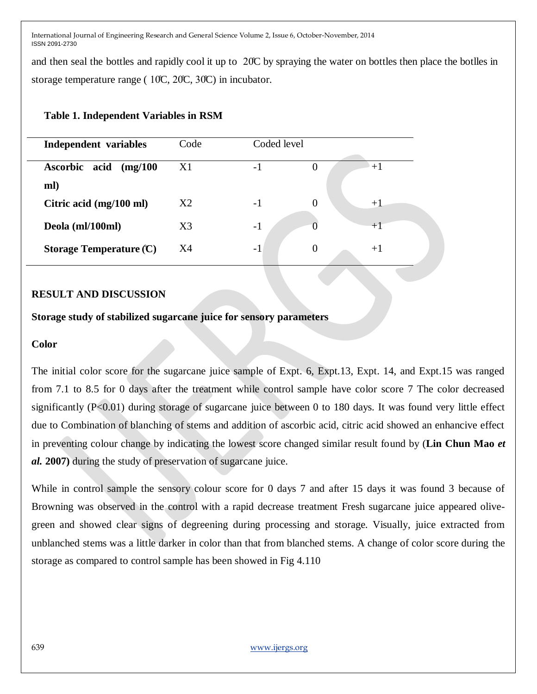and then seal the bottles and rapidly cool it up to 20̊C by spraying the water on bottles then place the botlles in storage temperature range (  $10C$ ,  $20C$ ,  $30C$ ) in incubator.

## **Table 1. Independent Variables in RSM**

| Independent variables     | Code           | Coded level |          |      |
|---------------------------|----------------|-------------|----------|------|
|                           |                |             |          |      |
| Ascorbic acid<br>(mg/100) | X1             | $-1$        |          | $+1$ |
| ml)                       |                |             |          |      |
| Citric acid (mg/100 ml)   | X2             | $-1$        |          | $+1$ |
| Deola (ml/100ml)          | X <sub>3</sub> | $-1$        |          | $+1$ |
| Storage Temperature $(C)$ | X4             | $-1$        | $\theta$ | $+1$ |
|                           |                |             |          |      |

## **RESULT AND DISCUSSION**

## **Storage study of stabilized sugarcane juice for sensory parameters**

## **Color**

The initial color score for the sugarcane juice sample of Expt. 6, Expt.13, Expt. 14, and Expt.15 was ranged from 7.1 to 8.5 for 0 days after the treatment while control sample have color score 7 The color decreased significantly (P<0.01) during storage of sugarcane juice between 0 to 180 days. It was found very little effect due to Combination of blanching of stems and addition of ascorbic acid, citric acid showed an enhancive effect in preventing colour change by indicating the lowest score changed similar result found by (**Lin Chun Mao** *et al.* **2007)** during the study of preservation of sugarcane juice.

While in control sample the sensory colour score for 0 days 7 and after 15 days it was found 3 because of Browning was observed in the control with a rapid decrease treatment Fresh sugarcane juice appeared olivegreen and showed clear signs of degreening during processing and storage. Visually, juice extracted from unblanched stems was a little darker in color than that from blanched stems. A change of color score during the storage as compared to control sample has been showed in Fig 4.110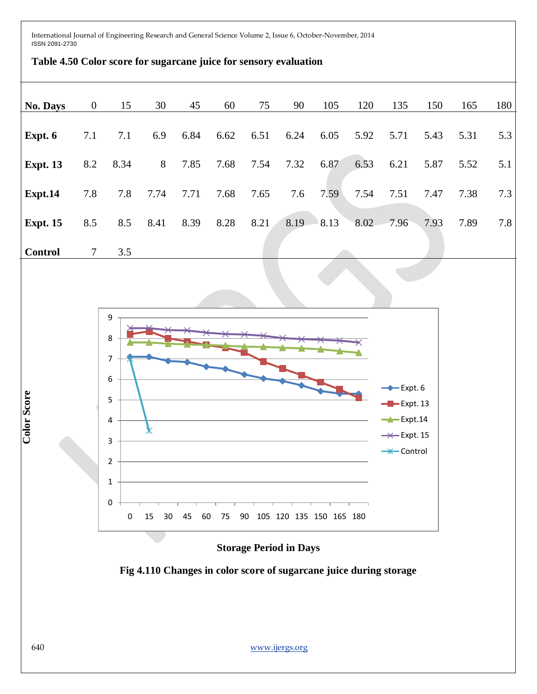

# **Fig 4.110 Changes in color score of sugarcane juice during storage**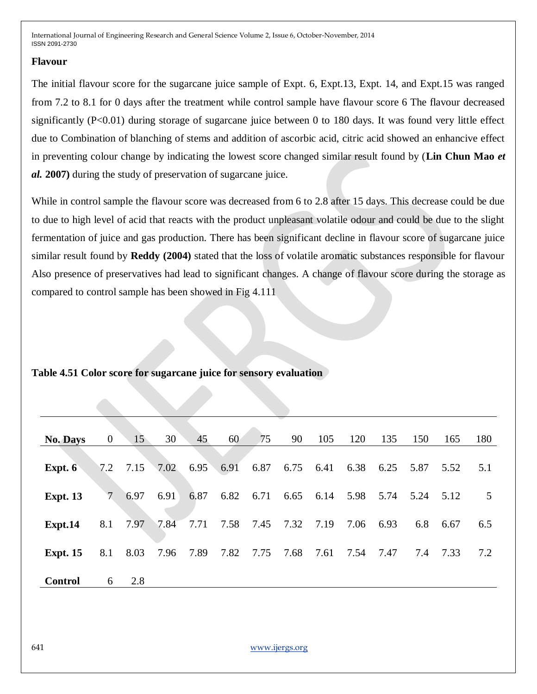### **Flavour**

The initial flavour score for the sugarcane juice sample of Expt. 6, Expt.13, Expt. 14, and Expt.15 was ranged from 7.2 to 8.1 for 0 days after the treatment while control sample have flavour score 6 The flavour decreased significantly (P<0.01) during storage of sugarcane juice between 0 to 180 days. It was found very little effect due to Combination of blanching of stems and addition of ascorbic acid, citric acid showed an enhancive effect in preventing colour change by indicating the lowest score changed similar result found by (**Lin Chun Mao** *et al.* **2007)** during the study of preservation of sugarcane juice.

While in control sample the flavour score was decreased from 6 to 2.8 after 15 days. This decrease could be due to due to high level of acid that reacts with the product unpleasant volatile odour and could be due to the slight fermentation of juice and gas production. There has been significant decline in flavour score of sugarcane juice similar result found by **Reddy (2004)** stated that the loss of volatile aromatic substances responsible for flavour Also presence of preservatives had lead to significant changes. A change of flavour score during the storage as compared to control sample has been showed in Fig 4.111

| <b>No. Days</b> | $\overline{0}$ | 15   | 30   | 45   | 60   | 75   | 90   | 105       | 120  | 135  | 150  | 165  | 180 |
|-----------------|----------------|------|------|------|------|------|------|-----------|------|------|------|------|-----|
| Expt. 6         | 7.2            | 7.15 | 7.02 | 6.95 | 6.91 | 6.87 | 6.75 | 6.41      | 6.38 | 6.25 | 5.87 | 5.52 | 5.1 |
| <b>Expt. 13</b> | 7              | 6.97 | 6.91 | 6.87 | 6.82 | 6.71 |      | 6.65 6.14 | 5.98 | 5.74 | 5.24 | 5.12 | 5   |
| Expt.14         | 8.1            | 7.97 | 7.84 | 7.71 | 7.58 | 7.45 | 7.32 | 7.19      | 7.06 | 6.93 | 6.8  | 6.67 | 6.5 |
| <b>Expt. 15</b> | 8.1            | 8.03 | 7.96 | 7.89 | 7.82 | 7.75 | 7.68 | 7.61      | 7.54 | 7.47 | 7.4  | 7.33 | 7.2 |
| <b>Control</b>  | 6              | 2.8  |      |      |      |      |      |           |      |      |      |      |     |

**Table 4.51 Color score for sugarcane juice for sensory evaluation**

641 www.ijergs.org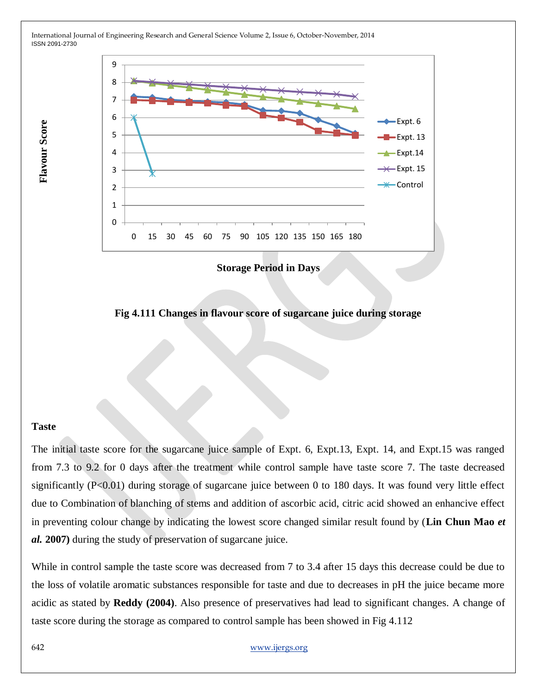

**Storage Period in Days**

**Fig 4.111 Changes in flavour score of sugarcane juice during storage**

#### **Taste**

**Flavour Score Flavour Score**

The initial taste score for the sugarcane juice sample of Expt. 6, Expt.13, Expt. 14, and Expt.15 was ranged from 7.3 to 9.2 for 0 days after the treatment while control sample have taste score 7. The taste decreased significantly (P<0.01) during storage of sugarcane juice between 0 to 180 days. It was found very little effect due to Combination of blanching of stems and addition of ascorbic acid, citric acid showed an enhancive effect in preventing colour change by indicating the lowest score changed similar result found by (**Lin Chun Mao** *et al.* **2007)** during the study of preservation of sugarcane juice.

While in control sample the taste score was decreased from 7 to 3.4 after 15 days this decrease could be due to the loss of volatile aromatic substances responsible for taste and due to decreases in pH the juice became more acidic as stated by **Reddy (2004)**. Also presence of preservatives had lead to significant changes. A change of taste score during the storage as compared to control sample has been showed in Fig 4.112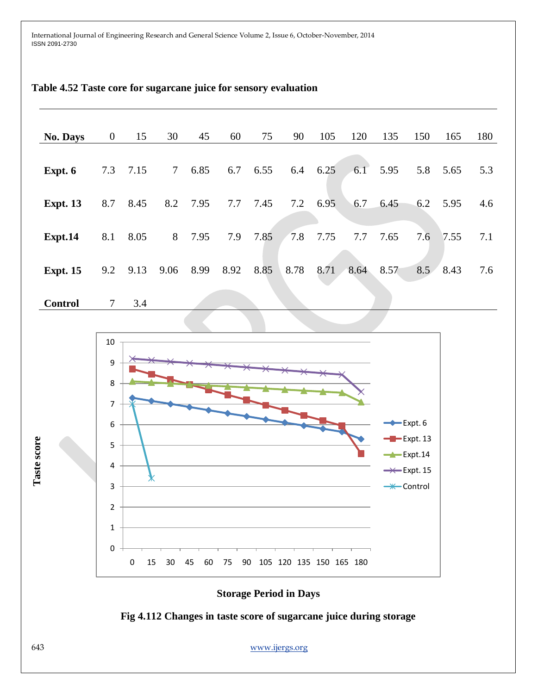| No. Days        | $\overline{0}$                                                                                                       | 15                | 30             | 45   | 60   | 75   | 90                                          | 105  | 120  | 135                             | 150                                                                           | 165  | 180     |
|-----------------|----------------------------------------------------------------------------------------------------------------------|-------------------|----------------|------|------|------|---------------------------------------------|------|------|---------------------------------|-------------------------------------------------------------------------------|------|---------|
| Expt. 6         | 7.3                                                                                                                  | 7.15              | $\mathcal{T}$  | 6.85 | 6.7  | 6.55 | 6.4                                         | 6.25 | 6.1  | 5.95                            | 5.8                                                                           | 5.65 | 5.3     |
| <b>Expt. 13</b> | 8.7                                                                                                                  | 8.45              | 8.2            | 7.95 | 7.7  | 7.45 | 7.2                                         | 6.95 | 6.7  | 6.45                            | 6.2                                                                           | 5.95 | 4.6     |
| Expt.14         | 8.1                                                                                                                  | 8.05              | $8\phantom{.}$ | 7.95 | 7.9  | 7.85 | 7.8                                         | 7.75 | 7.7  | 7.65                            | 7.6                                                                           | 7.55 | $7.1\,$ |
| <b>Expt. 15</b> | 9.2                                                                                                                  | 9.13              | 9.06           | 8.99 | 8.92 | 8.85 | 8.78                                        | 8.71 | 8.64 | 8.57                            | 8.5                                                                           | 8.43 | 7.6     |
| <b>Control</b>  | $\tau$                                                                                                               | 3.4               |                |      |      |      |                                             |      |      |                                 |                                                                               |      |         |
| Taste score     | $10\,$<br>9<br>8<br>$\overline{7}$<br>$\boldsymbol{6}$<br>5<br>$\pmb{4}$<br>3<br>$\overline{2}$<br>$\mathbf{1}$<br>0 | $\bm{\mathsf{x}}$ |                |      |      |      | 0 15 30 45 60 75 90 105 120 135 150 165 180 |      |      | $\xrightarrow{\bullet}$ Expt. 6 | $-E$ xpt. 13<br>$\rightarrow$ Expt.14<br>$\rightarrow$ Expt. 15<br>-* Control |      |         |

## **Table 4.52 Taste core for sugarcane juice for sensory evaluation**





643 www.ijergs.org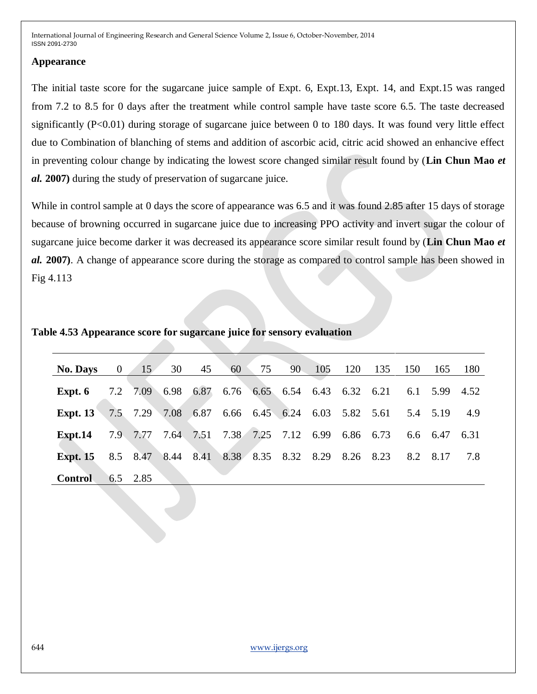### **Appearance**

The initial taste score for the sugarcane juice sample of Expt. 6, Expt.13, Expt. 14, and Expt.15 was ranged from 7.2 to 8.5 for 0 days after the treatment while control sample have taste score 6.5. The taste decreased significantly (P<0.01) during storage of sugarcane juice between 0 to 180 days. It was found very little effect due to Combination of blanching of stems and addition of ascorbic acid, citric acid showed an enhancive effect in preventing colour change by indicating the lowest score changed similar result found by (**Lin Chun Mao** *et al.* **2007)** during the study of preservation of sugarcane juice.

While in control sample at 0 days the score of appearance was 6.5 and it was found 2.85 after 15 days of storage because of browning occurred in sugarcane juice due to increasing PPO activity and invert sugar the colour of sugarcane juice become darker it was decreased its appearance score similar result found by (**Lin Chun Mao** *et al.* **2007)**. A change of appearance score during the storage as compared to control sample has been showed in Fig 4.113

| Table 4.53 Appearance score for sugarcane juice for sensory evaluation |  |  |
|------------------------------------------------------------------------|--|--|
|                                                                        |  |  |

| <b>No. Days</b> | $\begin{array}{c} 0 \end{array}$ | 15 <sup>7</sup> | 30                                               | 45 | 60                                 | 75 | $90 -$ | 105 | 120       | 135                                | 150 | 165      | - 180     |
|-----------------|----------------------------------|-----------------|--------------------------------------------------|----|------------------------------------|----|--------|-----|-----------|------------------------------------|-----|----------|-----------|
| Expt. 6         |                                  |                 | 7.2 7.09 6.98                                    |    | 6.87 6.76 6.65 6.54 6.43 6.32 6.21 |    |        |     |           |                                    | 6.1 |          | 5.99 4.52 |
| Expt. $13$      |                                  | 7.5 7.29 7.08   |                                                  |    |                                    |    |        |     |           | 6.87 6.66 6.45 6.24 6.03 5.82 5.61 |     | 5.4 5.19 | 4.9       |
| Expt.14         |                                  |                 | 7.9 7.77 7.64 7.51 7.38 7.25 7.12 6.99 6.86 6.73 |    |                                    |    |        |     |           |                                    |     | 6.6 6.47 | 6.31      |
| <b>Expt. 15</b> |                                  | 8.5 8.47        |                                                  |    | 8.44 8.41 8.38 8.35 8.32 8.29      |    |        |     | 8.26 8.23 |                                    |     | 8.2 8.17 | 7.8       |
| <b>Control</b>  |                                  | $6.5$ 2.85      |                                                  |    |                                    |    |        |     |           |                                    |     |          |           |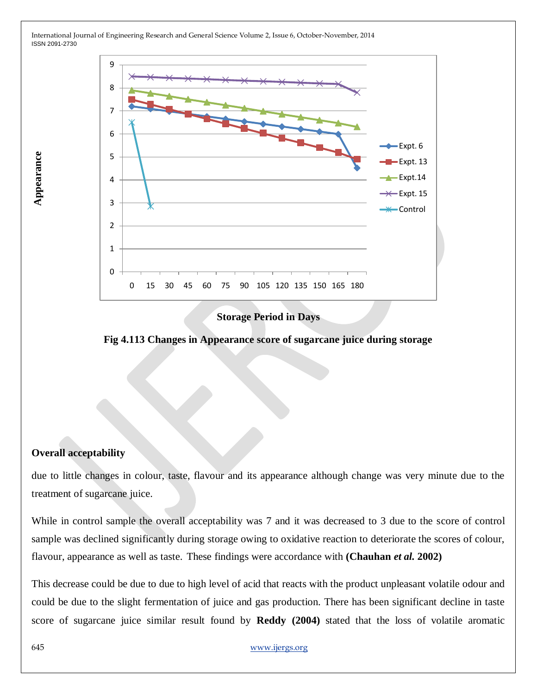

### **Storage Period in Days**

**Fig 4.113 Changes in Appearance score of sugarcane juice during storage**

## **Overall acceptability**

Appearance **Appearance**

due to little changes in colour, taste, flavour and its appearance although change was very minute due to the treatment of sugarcane juice.

While in control sample the overall acceptability was 7 and it was decreased to 3 due to the score of control sample was declined significantly during storage owing to oxidative reaction to deteriorate the scores of colour, flavour, appearance as well as taste. These findings were accordance with **(Chauhan** *et al.* **2002)**

This decrease could be due to due to high level of acid that reacts with the product unpleasant volatile odour and could be due to the slight fermentation of juice and gas production. There has been significant decline in taste score of sugarcane juice similar result found by **Reddy (2004)** stated that the loss of volatile aromatic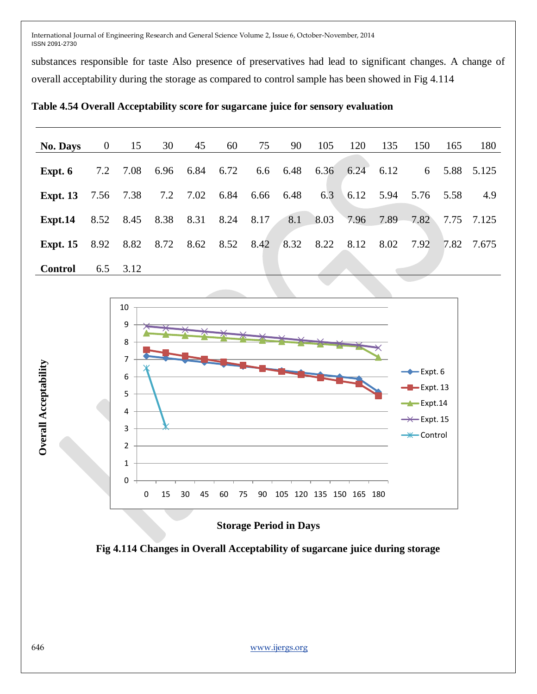substances responsible for taste Also presence of preservatives had lead to significant changes. A change of overall acceptability during the storage as compared to control sample has been showed in Fig 4.114

**Table 4.54 Overall Acceptability score for sugarcane juice for sensory evaluation**

| <b>No. Days</b>                               | $\mathbf{0}$ | 15        | 30 | 45                      | 60 | 75       | 90   | 105            | 120 | 135         | 150                     | 165       | 180        |
|-----------------------------------------------|--------------|-----------|----|-------------------------|----|----------|------|----------------|-----|-------------|-------------------------|-----------|------------|
|                                               |              |           |    |                         |    |          |      |                |     |             |                         |           |            |
| Expt. $6$                                     |              | 7.2 7.08  |    | 6.96 6.84 6.72          |    | 6.6 6.48 |      | 6.36 6.24 6.12 |     |             | 6                       |           | 5.88 5.125 |
| <b>Expt. 13</b> 7.56 7.38                     |              |           |    | 7.2 7.02 6.84 6.66 6.48 |    |          |      | 6.3            |     | $6.12$ 5.94 |                         | 5.76 5.58 | 4.9        |
| Expt.14                                       |              | 8.52 8.45 |    | 8.38 8.31 8.24 8.17     |    |          |      |                |     |             | 8.1 8.03 7.96 7.89 7.82 |           | 7.75 7.125 |
| <b>Expt. 15</b> 8.92 8.82 8.72 8.62 8.52 8.42 |              |           |    |                         |    |          | 8.32 | 8.22 8.12      |     | 8.02        | 7.92                    | 7.82      | 7.675      |
| <b>Control</b>                                | 6.5          | 3.12      |    |                         |    |          |      |                |     |             |                         |           |            |



**Storage Period in Days**

**Fig 4.114 Changes in Overall Acceptability of sugarcane juice during storage**

**Overall Acceptability Overall Acceptability**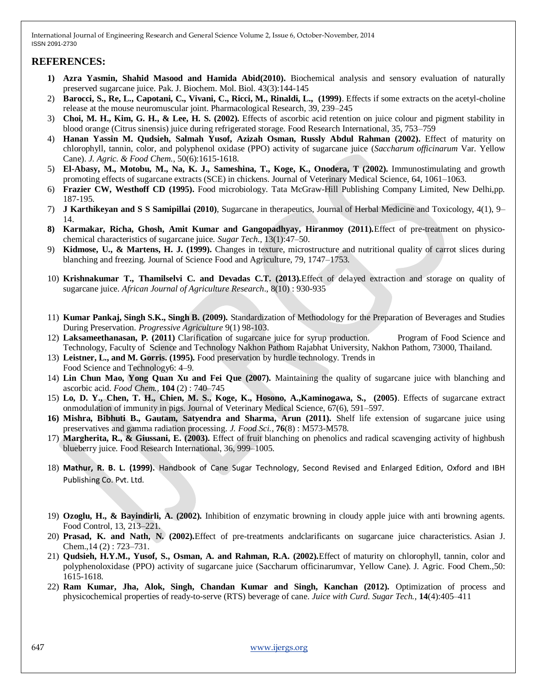### **REFERENCES:**

- **1) Azra Yasmin, Shahid Masood and Hamida Abid(2010).** Biochemical analysis and sensory evaluation of naturally preserved sugarcane juice. Pak. J. Biochem. Mol. Biol. 43(3):144-145
- 2) **Barocci, S., Re, L., Capotani, C., Vivani, C., Ricci, M., Rinaldi, L., (1999)**. Effects if some extracts on the acetyl-choline release at the mouse neuromuscular joint. Pharmacological Research, 39, 239–245
- 3) **Choi, M. H., Kim, G. H., & Lee, H. S. (2002).** Effects of ascorbic acid retention on juice colour and pigment stability in blood orange (Citrus sinensis) juice during refrigerated storage. Food Research International, 35, 753–759
- 4) **Hanan Yassin M. Qudsieh, Salmah Yusof, Azizah Osman, Russly Abdul Rahman (2002).** Effect of maturity on chlorophyll, tannin, color, and polyphenol oxidase (PPO) activity of sugarcane juice (*Saccharum officinarum* Var. Yellow Cane). *J. Agric. & Food Chem.*, 50(6):1615-1618.
- 5) **El-Abasy, M., Motobu, M., Na, K. J., Sameshina, T., Koge, K., Onodera, T (2002).** Immunostimulating and growth promoting effects of sugarcane extracts (SCE) in chickens. Journal of Veterinary Medical Science, 64, 1061–1063.
- 6) **Frazier CW, Westhoff CD (1995).** Food microbiology. Tata McGraw-Hill Publishing Company Limited, New Delhi,pp. 187-195.
- 7) **J Karthikeyan and S S Samipillai (2010)**, Sugarcane in therapeutics, Journal of Herbal Medicine and Toxicology, 4(1), 9– 14.
- **8) Karmakar, Richa, Ghosh, Amit Kumar and Gangopadhyay, Hiranmoy (2011).**Effect of pre-treatment on physicochemical characteristics of sugarcane juice. *Sugar Tech.,* 13(1):47–50.
- 9) **Kidmose, U., & Martens, H. J. (1999).** Changes in texture, microstructure and nutritional quality of carrot slices during blanching and freezing. Journal of Science Food and Agriculture, 79, 1747–1753.
- 10) **Krishnakumar T., Thamilselvi C. and Devadas C.T. (2013).**Effect of delayed extraction and storage on quality of sugarcane juice. *African Journal of Agriculture Research*., 8(10) : 930-935
- 11) **Kumar Pankaj, Singh S.K., Singh B. (2009).** Standardization of Methodology for the Preparation of Beverages and Studies During Preservation. *Progressive Agriculture* 9(1) 98-103.
- 12) **Laksameethanasan, P. (2011)** Clarification of sugarcane juice for syrup production.Program of Food Science and Technology, Faculty of Science and Technology Nakhon Pathom Rajabhat University, Nakhon Pathom, 73000, Thailand.
- 13) **Leistner, L., and M. Gorris. (1995).** Food preservation by hurdle technology. Trends in Food Science and Technology6: 4–9.
- 14) **Lin Chun Mao, Yong Quan Xu and Fei Que (2007).** Maintaining the quality of sugarcane juice with blanching and ascorbic acid. *Food Chem.,* **104** (2) : 740–745
- 15) **Lo, D. Y., Chen, T. H., Chien, M. S., Koge, K., Hosono, A.,Kaminogawa, S., (2005)**. Effects of sugarcane extract onmodulation of immunity in pigs. Journal of Veterinary Medical Science, 67(6), 591–597.
- **16) Mishra, Bibhuti B., Gautam, Satyendra and Sharma, Arun (2011).** Shelf life extension of sugarcane juice using preservatives and gamma radiation processing. *J. Food Sci.*, **76**(8) : M573-M578.
- 17) **Margherita, R., & Giussani, E. (2003).** Effect of fruit blanching on phenolics and radical scavenging activity of highbush blueberry juice. Food Research International, 36, 999–1005.
- 18) **Mathur, R. B. L. (1999).** Handbook of Cane Sugar Technology, Second Revised and Enlarged Edition, Oxford and IBH Publishing Co. Pvt. Ltd.
- 19) **Ozoglu, H., & Bayindirli, A. (2002).** Inhibition of enzymatic browning in cloudy apple juice with anti browning agents. Food Control, 13, 213–221.
- 20) **Prasad, K. and Nath, N. (2002).**Effect of pre-treatments andclarificants on sugarcane juice characteristics. Asian J. Chem.,14 (2) : 723–731.
- 21) **Qudsieh, H.Y.M., Yusof, S., Osman, A. and Rahman, R.A. (2002).**Effect of maturity on chlorophyll, tannin, color and polyphenoloxidase (PPO) activity of sugarcane juice (Saccharum officinarumvar, Yellow Cane). J. Agric. Food Chem.,50: 1615-1618.
- 22) **Ram Kumar, Jha, Alok, Singh, Chandan Kumar and Singh, Kanchan (2012).** Optimization of process and physicochemical properties of ready-to-serve (RTS) beverage of cane. *Juice with Curd. Sugar Tech.,* **14**(4):405–411